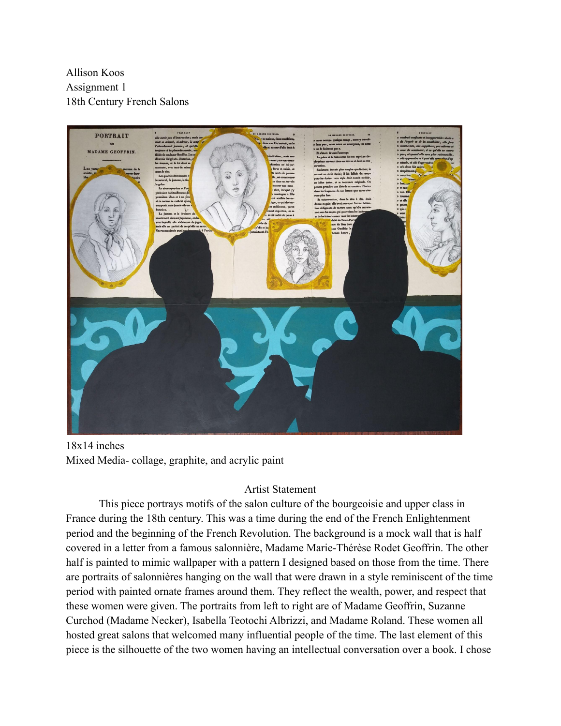Allison Koos Assignment 1 18th Century French Salons



18x14 inches Mixed Media- collage, graphite, and acrylic paint

## Artist Statement

This piece portrays motifs of the salon culture of the bourgeoisie and upper class in France during the 18th century. This was a time during the end of the French Enlightenment period and the beginning of the French Revolution. The background is a mock wall that is half covered in a letter from a famous salonnière, Madame Marie-Thérèse Rodet Geoffrin. The other half is painted to mimic wallpaper with a pattern I designed based on those from the time. There are portraits of salonnières hanging on the wall that were drawn in a style reminiscent of the time period with painted ornate frames around them. They reflect the wealth, power, and respect that these women were given. The portraits from left to right are of Madame Geoffrin, Suzanne Curchod (Madame Necker), Isabella Teotochi Albrizzi, and Madame Roland. These women all hosted great salons that welcomed many influential people of the time. The last element of this piece is the silhouette of the two women having an intellectual conversation over a book. I chose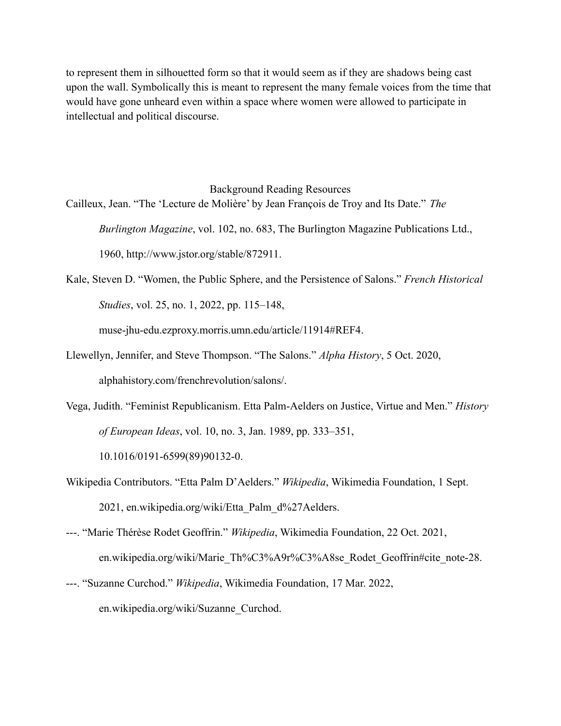to represent them in silhouetted form so that it would seem as if they are shadows being cast upon the wall. Symbolically this is meant to represent the many female voices from the time that would have gone unheard even within a space where women were allowed to participate in intellectual and political discourse.

Background Reading Resources Cailleux, Jean. "The 'Lecture de Molière' by Jean François de Troy and Its Date." *The*

*Burlington Magazine*, vol. 102, no. 683, The Burlington Magazine Publications Ltd.,

1960, http://www.jstor.org/stable/872911.

Kale, Steven D. "Women, the Public Sphere, and the Persistence of Salons." *French Historical Studies*, vol. 25, no. 1, 2022, pp. 115–148,

muse-jhu-edu.ezproxy.morris.umn.edu/article/11914#REF4.

- Llewellyn, Jennifer, and Steve Thompson. "The Salons." *Alpha History*, 5 Oct. 2020, alphahistory.com/frenchrevolution/salons/.
- Vega, Judith. "Feminist Republicanism. Etta Palm-Aelders on Justice, Virtue and Men." *History of European Ideas*, vol. 10, no. 3, Jan. 1989, pp. 333–351,

10.1016/0191-6599(89)90132-0.

- Wikipedia Contributors. "Etta Palm D'Aelders." *Wikipedia*, Wikimedia Foundation, 1 Sept. 2021, en.wikipedia.org/wiki/Etta\_Palm\_d%27Aelders.
- ---. "Marie Thérèse Rodet Geoffrin." *Wikipedia*, Wikimedia Foundation, 22 Oct. 2021, en.wikipedia.org/wiki/Marie\_Th%C3%A9r%C3%A8se\_Rodet\_Geoffrin#cite\_note-28.
- ---. "Suzanne Curchod." *Wikipedia*, Wikimedia Foundation, 17 Mar. 2022, en.wikipedia.org/wiki/Suzanne\_Curchod.